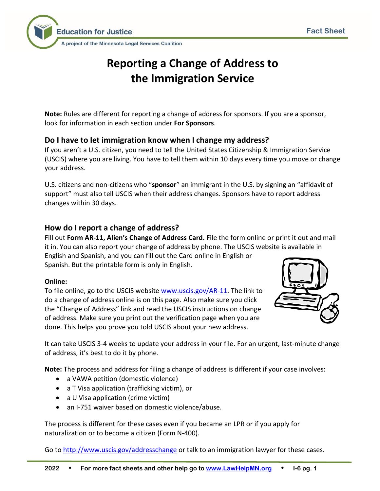

# **Reporting a Change of Address to the Immigration Service**

**Note:** Rules are different for reporting a change of address for sponsors. If you are a sponsor, look for information in each section under **For Sponsors**.

# **Do I have to let immigration know when I change my address?**

If you aren't a U.S. citizen, you need to tell the United States Citizenship & Immigration Service (USCIS) where you are living. You have to tell them within 10 days every time you move or change your address.

U.S. citizens and non-citizens who "**sponsor**" an immigrant in the U.S. by signing an "affidavit of support" must also tell USCIS when their address changes. Sponsors have to report address changes within 30 days.

# **How do I report a change of address?**

Fill out **Form AR-11, Alien's Change of Address Card.** File the form online or print it out and mail it in. You can also report your change of address by phone. The USCIS website is available in English and Spanish, and you can fill out the Card online in English or

Spanish. But the printable form is only in English.

## **Online:**

To file online, go to the USCIS website [www.uscis.gov/AR-11.](http://www.uscis.gov/AR-11) The link to do a change of address online is on this page. Also make sure you click the "Change of Address" link and read the USCIS instructions on change of address. Make sure you print out the verification page when you are done. This helps you prove you told USCIS about your new address.



It can take USCIS 3-4 weeks to update your address in your file. For an urgent, last-minute change of address, it's best to do it by phone.

**Note:** The process and address for filing a change of address is different if your case involves:

- a VAWA petition (domestic violence)
- a T Visa application (trafficking victim), or
- a U Visa application (crime victim)
- an I-751 waiver based on domestic violence/abuse.

The process is different for these cases even if you became an LPR or if you apply for naturalization or to become a citizen (Form N-400).

Go t[o http://www.uscis.gov/addresschange](http://www.uscis.gov/addresschange) or talk to an immigration lawyer for these cases.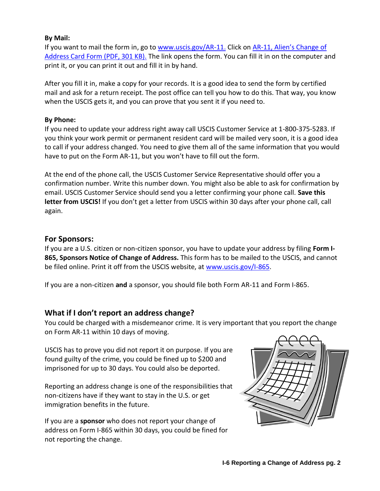#### **By Mail:**

If you want to mail the form in, go to [www.uscis.gov/AR-11.](http://www.uscis.gov/AR-11) Click on AR-11, Alien's Change of [Address Card Form \(PDF, 301 KB\).](https://www.uscis.gov/system/files_force/files/form/ar-11.pdf?download=1) The link opens the form. You can fill it in on the computer and print it, or you can print it out and fill it in by hand.

After you fill it in, make a copy for your records. It is a good idea to send the form by certified mail and ask for a return receipt. The post office can tell you how to do this. That way, you know when the USCIS gets it, and you can prove that you sent it if you need to.

#### **By Phone:**

If you need to update your address right away call USCIS Customer Service at 1-800-375-5283. If you think your work permit or permanent resident card will be mailed very soon, it is a good idea to call if your address changed. You need to give them all of the same information that you would have to put on the Form AR-11, but you won't have to fill out the form.

At the end of the phone call, the USCIS Customer Service Representative should offer you a confirmation number. Write this number down. You might also be able to ask for confirmation by email. USCIS Customer Service should send you a letter confirming your phone call. **Save this letter from USCIS!** If you don't get a letter from USCIS within 30 days after your phone call, call again.

#### **For Sponsors:**

If you are a U.S. citizen or non-citizen sponsor, you have to update your address by filing **Form I-865, Sponsors Notice of Change of Address.** This form has to be mailed to the USCIS, and cannot be filed online. Print it off from the USCIS website, at [www.uscis.gov/I-865.](http://www.uscis.gov/I-865)

If you are a non-citizen **and** a sponsor, you should file both Form AR-11 and Form I-865.

## **What if I don't report an address change?**

You could be charged with a misdemeanor crime. It is very important that you report the change on Form AR-11 within 10 days of moving.

USCIS has to prove you did not report it on purpose. If you are found guilty of the crime, you could be fined up to \$200 and imprisoned for up to 30 days. You could also be deported.

Reporting an address change is one of the responsibilities that non-citizens have if they want to stay in the U.S. or get immigration benefits in the future.

If you are a **sponsor** who does not report your change of address on Form I-865 within 30 days, you could be fined for not reporting the change.

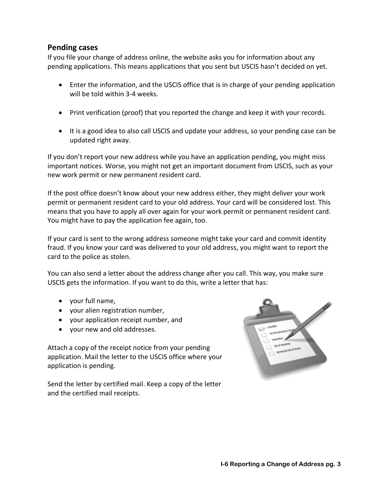## **Pending cases**

If you file your change of address online, the website asks you for information about any pending applications. This means applications that you sent but USCIS hasn't decided on yet.

- Enter the information, and the USCIS office that is in charge of your pending application will be told within 3-4 weeks.
- Print verification (proof) that you reported the change and keep it with your records.
- It is a good idea to also call USCIS and update your address, so your pending case can be updated right away.

If you don't report your new address while you have an application pending, you might miss important notices. Worse, you might not get an important document from USCIS, such as your new work permit or new permanent resident card.

If the post office doesn't know about your new address either, they might deliver your work permit or permanent resident card to your old address. Your card will be considered lost. This means that you have to apply all over again for your work permit or permanent resident card. You might have to pay the application fee again, too.

If your card is sent to the wrong address someone might take your card and commit identity fraud. If you know your card was delivered to your old address, you might want to report the card to the police as stolen.

You can also send a letter about the address change after you call. This way, you make sure USCIS gets the information. If you want to do this, write a letter that has:

- your full name,
- your alien registration number,
- your application receipt number, and
- your new and old addresses.

Attach a copy of the receipt notice from your pending application. Mail the letter to the USCIS office where your application is pending.

Send the letter by certified mail. Keep a copy of the letter and the certified mail receipts.